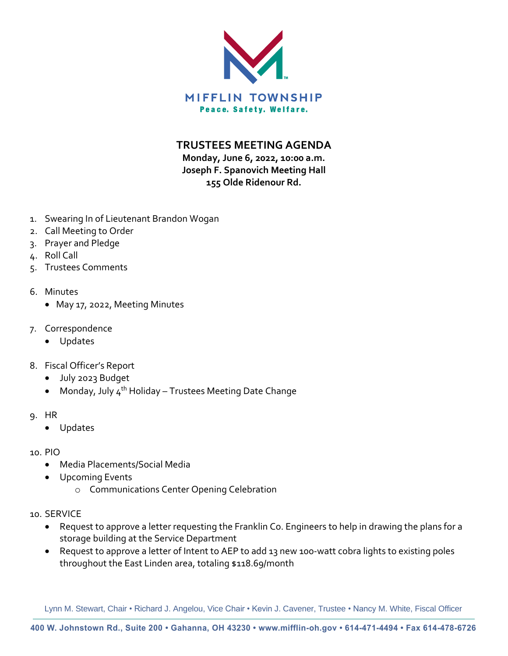

**TRUSTEES MEETING AGENDA**

**Monday, June 6, 2022, 10:00 a.m. Joseph F. Spanovich Meeting Hall 155 Olde Ridenour Rd.**

- 1. Swearing In of Lieutenant Brandon Wogan
- 2. Call Meeting to Order
- 3. Prayer and Pledge
- 4. Roll Call
- 5. Trustees Comments
- 6. Minutes
	- May 17, 2022, Meeting Minutes
- 7. Correspondence
	- Updates
- 8. Fiscal Officer's Report
	- July 2023 Budget
	- Monday, July  $4^{th}$  Holiday Trustees Meeting Date Change
- 9. HR
	- Updates
- 10. PIO
	- Media Placements/Social Media
	- Upcoming Events
		- o Communications Center Opening Celebration
- 10. SERVICE
	- Request to approve a letter requesting the Franklin Co. Engineers to help in drawing the plans for a storage building at the Service Department
	- Request to approve a letter of Intent to AEP to add 13 new 100-watt cobra lights to existing poles throughout the East Linden area, totaling \$118.69/month

Lynn M. Stewart, Chair • Richard J. Angelou, Vice Chair • Kevin J. Cavener, Trustee • Nancy M. White, Fiscal Officer